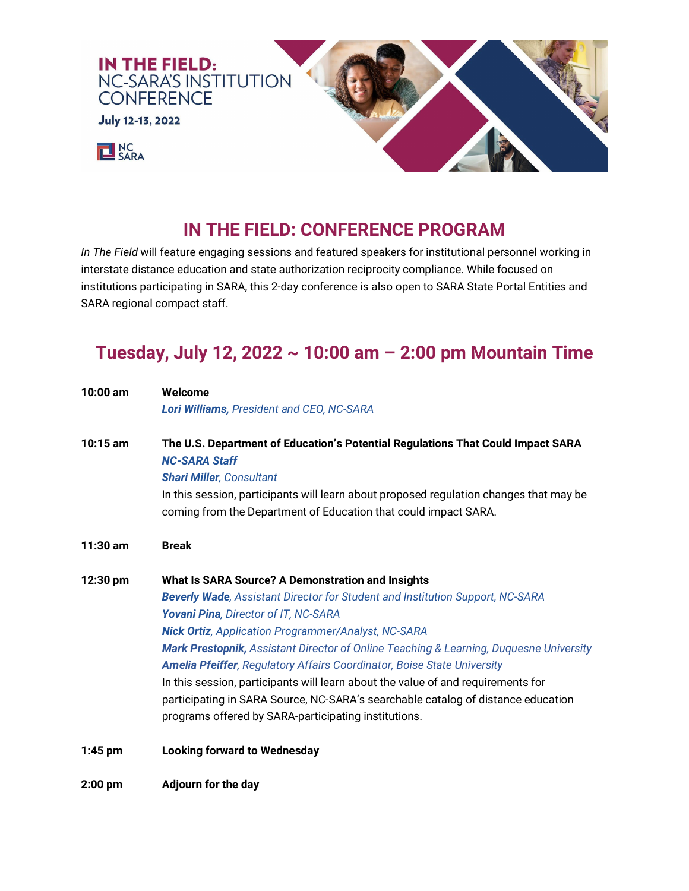

# **IN THE FIELD: CONFERENCE PROGRAM**

*In The Field* will feature engaging sessions and featured speakers for institutional personnel working in interstate distance education and state authorization reciprocity compliance. While focused on institutions participating in SARA, this 2-day conference is also open to SARA State Portal Entities and SARA regional compact staff.

# **Tuesday, July 12, 2022 ~ 10:00 am – 2:00 pm Mountain Time**

| 10:00 am   | Welcome                                                                                                                                                                  |
|------------|--------------------------------------------------------------------------------------------------------------------------------------------------------------------------|
|            | Lori Williams, President and CEO, NC-SARA                                                                                                                                |
| $10:15$ am | The U.S. Department of Education's Potential Regulations That Could Impact SARA<br><b>NC-SARA Staff</b><br><b>Shari Miller, Consultant</b>                               |
|            | In this session, participants will learn about proposed regulation changes that may be<br>coming from the Department of Education that could impact SARA.                |
| $11:30$ am | <b>Break</b>                                                                                                                                                             |
| 12:30 pm   | What Is SARA Source? A Demonstration and Insights                                                                                                                        |
|            | <b>Beverly Wade, Assistant Director for Student and Institution Support, NC-SARA</b>                                                                                     |
|            | Yovani Pina, Director of IT, NC-SARA                                                                                                                                     |
|            | <b>Nick Ortiz, Application Programmer/Analyst, NC-SARA</b>                                                                                                               |
|            | Mark Prestopnik, Assistant Director of Online Teaching & Learning, Duquesne University<br><b>Amelia Pfeiffer, Regulatory Affairs Coordinator, Boise State University</b> |
|            | In this session, participants will learn about the value of and requirements for                                                                                         |
|            | participating in SARA Source, NC-SARA's searchable catalog of distance education                                                                                         |
|            | programs offered by SARA-participating institutions.                                                                                                                     |
| $1:45$ pm  | <b>Looking forward to Wednesday</b>                                                                                                                                      |
| $2:00$ pm  | <b>Adjourn for the day</b>                                                                                                                                               |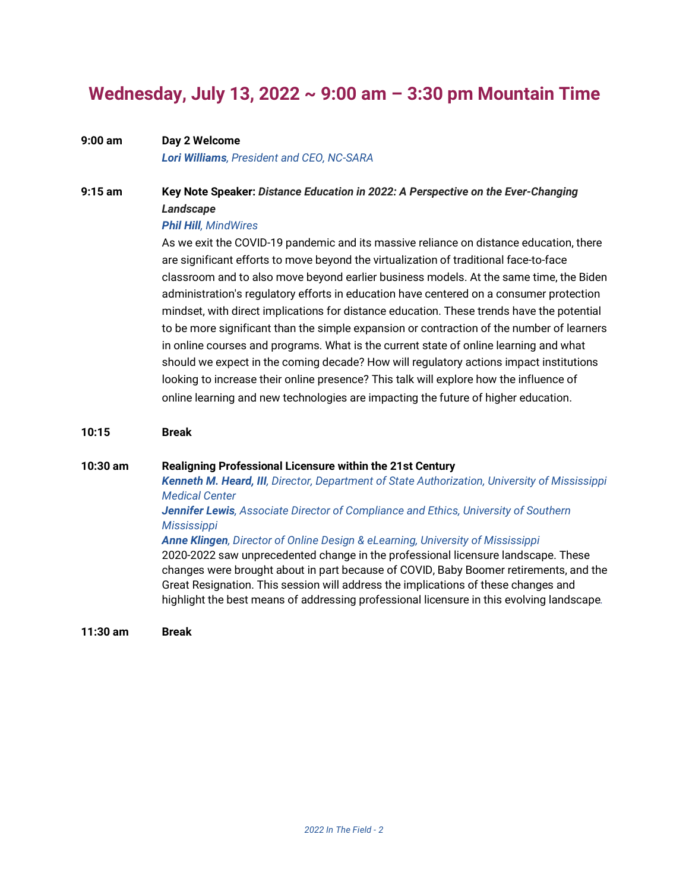# **Wednesday, July 13, 2022 ~ 9:00 am – 3:30 pm Mountain Time**

## **9:00 am Day 2 Welcome**

*Lori Williams, President and CEO, NC-SARA*

### **9:15 am Key Note Speaker:** *Distance Education in 2022: A Perspective on the Ever-Changing Landscape*

#### *Phil Hill, MindWires*

As we exit the COVID-19 pandemic and its massive reliance on distance education, there are significant efforts to move beyond the virtualization of traditional face-to-face classroom and to also move beyond earlier business models. At the same time, the Biden administration's regulatory efforts in education have centered on a consumer protection mindset, with direct implications for distance education. These trends have the potential to be more significant than the simple expansion or contraction of the number of learners in online courses and programs. What is the current state of online learning and what should we expect in the coming decade? How will regulatory actions impact institutions looking to increase their online presence? This talk will explore how the influence of online learning and new technologies are impacting the future of higher education.

#### **10:15 Break**

#### **10:30 am Realigning Professional Licensure within the 21st Century**

*Kenneth M. Heard, III, Director, Department of State Authorization, University of Mississippi Medical Center*

#### *Jennifer Lewis, Associate Director of Compliance and Ethics, University of Southern Mississippi*

#### *Anne Klingen, Director of Online Design & eLearning, University of Mississippi*

2020-2022 saw unprecedented change in the professional licensure landscape. These changes were brought about in part because of COVID, Baby Boomer retirements, and the Great Resignation. This session will address the implications of these changes and highlight the best means of addressing professional licensure in this evolving landscape*.* 

**11:30 am Break**